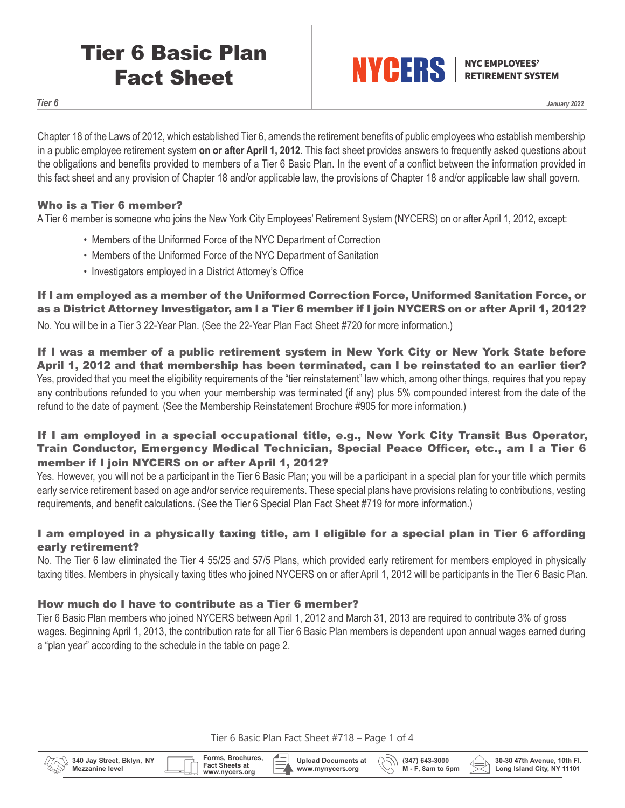# Tier 6 Basic Plan Fact Sheet



**RETIREMENT SYSTEM** 

*Tier 6*

*January 2022*

Chapter 18 of the Laws of 2012, which established Tier 6, amends the retirement benefits of public employees who establish membership in a public employee retirement system **on or after April 1, 2012**. This fact sheet provides answers to frequently asked questions about the obligations and benefits provided to members of a Tier 6 Basic Plan. In the event of a conflict between the information provided in this fact sheet and any provision of Chapter 18 and/or applicable law, the provisions of Chapter 18 and/or applicable law shall govern.

## Who is a Tier 6 member?

A Tier 6 member is someone who joins the New York City Employees' Retirement System (NYCERS) on or after April 1, 2012, except:

- Members of the Uniformed Force of the NYC Department of Correction
- Members of the Uniformed Force of the NYC Department of Sanitation
- Investigators employed in a District Attorney's Office

If I am employed as a member of the Uniformed Correction Force, Uniformed Sanitation Force, or as a District Attorney Investigator, am I a Tier 6 member if I join NYCERS on or after April 1, 2012?

No. You will be in a Tier 3 22-Year Plan. (See the 22-Year Plan Fact Sheet #720 for more information.)

If I was a member of a public retirement system in New York City or New York State before April 1, 2012 and that membership has been terminated, can I be reinstated to an earlier tier? Yes, provided that you meet the eligibility requirements of the "tier reinstatement" law which, among other things, requires that you repay any contributions refunded to you when your membership was terminated (if any) plus 5% compounded interest from the date of the refund to the date of payment. (See the Membership Reinstatement Brochure #905 for more information.)

# If I am employed in a special occupational title, e.g., New York City Transit Bus Operator, Train Conductor, Emergency Medical Technician, Special Peace Officer, etc., am I a Tier 6 member if I join NYCERS on or after April 1, 2012?

Yes. However, you will not be a participant in the Tier 6 Basic Plan; you will be a participant in a special plan for your title which permits early service retirement based on age and/or service requirements. These special plans have provisions relating to contributions, vesting requirements, and benefit calculations. (See the Tier 6 Special Plan Fact Sheet #719 for more information.)

# I am employed in a physically taxing title, am I eligible for a special plan in Tier 6 affording early retirement?

No. The Tier 6 law eliminated the Tier 4 55/25 and 57/5 Plans, which provided early retirement for members employed in physically taxing titles. Members in physically taxing titles who joined NYCERS on or after April 1, 2012 will be participants in the Tier 6 Basic Plan.

#### How much do I have to contribute as a Tier 6 member?

Tier 6 Basic Plan members who joined NYCERS between April 1, 2012 and March 31, 2013 are required to contribute 3% of gross wages. Beginning April 1, 2013, the contribution rate for all Tier 6 Basic Plan members is dependent upon annual wages earned during a "plan year" according to the schedule in the table on page 2.

Tier 6 Basic Plan Fact Sheet #718 – Page 1 of 4



**Forms, Brochures, Fact Sheets at**

**Upload Documents at www.mynycers.org**



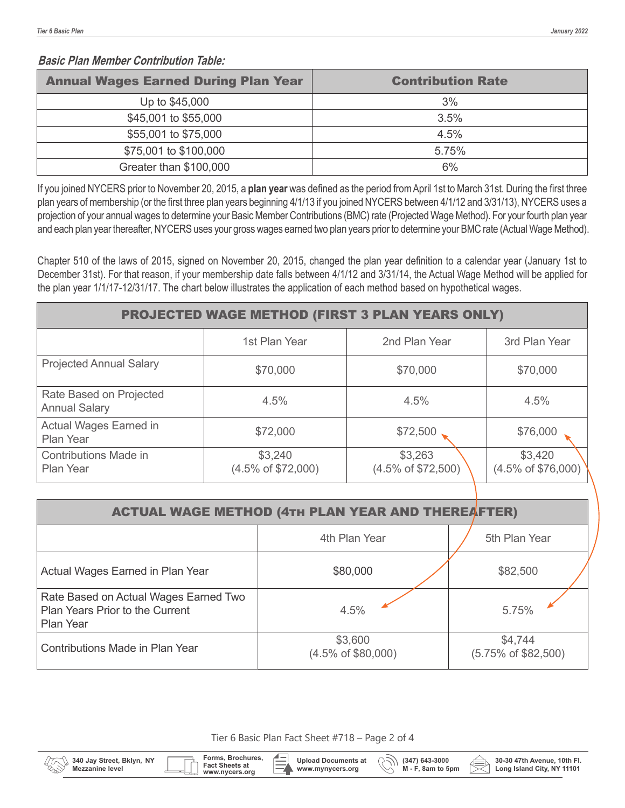### **Basic Plan Member Contribution Table:**

| <b>Annual Wages Earned During Plan Year</b> | <b>Contribution Rate</b> |
|---------------------------------------------|--------------------------|
| Up to \$45,000                              | 3%                       |
| \$45,001 to \$55,000                        | 3.5%                     |
| \$55,001 to \$75,000                        | 4.5%                     |
| \$75,001 to \$100,000                       | 5.75%                    |
| Greater than \$100,000                      | 6%                       |

If you joined NYCERS prior to November 20, 2015, a **plan year** was defined as the period from April 1st to March 31st. During the first three plan years of membership (or the first three plan years beginning 4/1/13 if you joined NYCERS between 4/1/12 and 3/31/13), NYCERS uses a projection of your annual wages to determine your Basic Member Contributions (BMC) rate (Projected Wage Method). For your fourth plan year and each plan year thereafter, NYCERS uses your gross wages earned two plan years prior to determine your BMC rate (Actual Wage Method).

Chapter 510 of the laws of 2015, signed on November 20, 2015, changed the plan year definition to a calendar year (January 1st to December 31st). For that reason, if your membership date falls between 4/1/12 and 3/31/14, the Actual Wage Method will be applied for the plan year 1/1/17-12/31/17. The chart below illustrates the application of each method based on hypothetical wages.

| <b>PROJECTED WAGE METHOD (FIRST 3 PLAN YEARS ONLY)</b> |                                          |                                          |                                          |  |
|--------------------------------------------------------|------------------------------------------|------------------------------------------|------------------------------------------|--|
|                                                        | 1st Plan Year                            | 2nd Plan Year                            | 3rd Plan Year                            |  |
| <b>Projected Annual Salary</b>                         | \$70,000                                 | \$70,000                                 | \$70,000                                 |  |
| Rate Based on Projected<br><b>Annual Salary</b>        | 4.5%                                     | 4.5%                                     | 4.5%                                     |  |
| <b>Actual Wages Earned in</b><br><b>Plan Year</b>      | \$72,000                                 | \$72,500                                 | \$76,000                                 |  |
| Contributions Made in<br><b>Plan Year</b>              | \$3,240<br>$(4.5\% \text{ of } $72,000)$ | \$3,263<br>$(4.5\% \text{ of } $72,500)$ | \$3,420<br>$(4.5\% \text{ of } $76,000)$ |  |

| <b>ACTUAL WAGE METHOD (4TH PLAN YEAR AND THEREAFTER)</b>                              |                                          |                                |  |  |  |
|---------------------------------------------------------------------------------------|------------------------------------------|--------------------------------|--|--|--|
|                                                                                       | 4th Plan Year                            | 5th Plan Year                  |  |  |  |
| Actual Wages Earned in Plan Year                                                      | \$80,000                                 | \$82,500                       |  |  |  |
| Rate Based on Actual Wages Earned Two<br>Plan Years Prior to the Current<br>Plan Year | 4.5%                                     | 5.75%                          |  |  |  |
| Contributions Made in Plan Year                                                       | \$3,600<br>$(4.5\% \text{ of } $80,000)$ | \$4,744<br>(5.75% of \$82,500) |  |  |  |

Tier 6 Basic Plan Fact Sheet #718 – Page 2 of 4

**Forms, Brochures,**

www.nycers.org

**Fact Sheets at**

**Upload Documents at**  R ンリ **www.mynycers.org**



**30-30 47th Avenue, 10th Fl. Long Island City, NY 11101**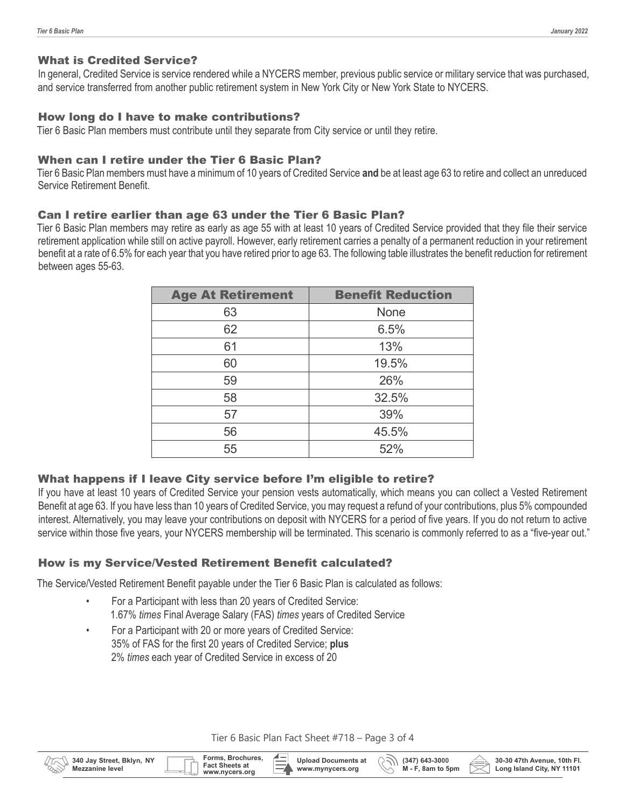**30-30 47th Avenue, 10th Fl. Long Island City, NY 11101**

#### What is Credited Service?

In general, Credited Service is service rendered while a NYCERS member, previous public service or military service that was purchased, and service transferred from another public retirement system in New York City or New York State to NYCERS.

## How long do I have to make contributions?

Tier 6 Basic Plan members must contribute until they separate from City service or until they retire.

#### When can I retire under the Tier 6 Basic Plan?

Tier 6 Basic Plan members must have a minimum of 10 years of Credited Service **and** be at least age 63 to retire and collect an unreduced Service Retirement Benefit.

### Can I retire earlier than age 63 under the Tier 6 Basic Plan?

Tier 6 Basic Plan members may retire as early as age 55 with at least 10 years of Credited Service provided that they file their service retirement application while still on active payroll. However, early retirement carries a penalty of a permanent reduction in your retirement benefit at a rate of 6.5% for each year that you have retired prior to age 63. The following table illustrates the benefit reduction for retirement between ages 55-63.

| <b>Age At Retirement</b> | <b>Benefit Reduction</b> |  |
|--------------------------|--------------------------|--|
| 63                       | <b>None</b>              |  |
| 62                       | 6.5%                     |  |
| 61                       | 13%                      |  |
| 60                       | 19.5%                    |  |
| 59                       | 26%                      |  |
| 58                       | 32.5%                    |  |
| 57                       | 39%                      |  |
| 56                       | 45.5%                    |  |
| 55                       | 52%                      |  |

# What happens if I leave City service before I'm eligible to retire?

If you have at least 10 years of Credited Service your pension vests automatically, which means you can collect a Vested Retirement Benefit at age 63. If you have less than 10 years of Credited Service, you may request a refund of your contributions, plus 5% compounded interest. Alternatively, you may leave your contributions on deposit with NYCERS for a period of five years. If you do not return to active service within those five years, your NYCERS membership will be terminated. This scenario is commonly referred to as a "five-year out."

## How is my Service/Vested Retirement Benefit calculated?

The Service/Vested Retirement Benefit payable under the Tier 6 Basic Plan is calculated as follows:

- For a Participant with less than 20 years of Credited Service: 1.67% *times* Final Average Salary (FAS) *times* years of Credited Service
- For a Participant with 20 or more years of Credited Service: 35% of FAS for the first 20 years of Credited Service; **plus** 2% *times* each year of Credited Service in excess of 20

**Forms, Brochures, Fact Sheets at**

**340 Jay Street, Bklyn, NY Mezzanine level**

Tier 6 Basic Plan Fact Sheet #718 – Page 3 of 4

**Upload Documents at www.mynycers.org**

**M** - F, 8am to 5pm<br>www.nycers.org **CO** www.mynycers.org W. M - F, 8am to 5pm

**(347) 643-3000**